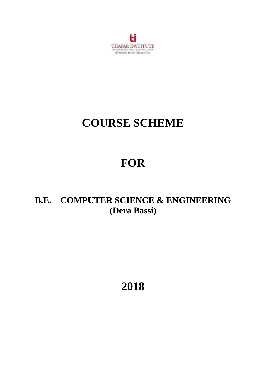

# **COURSE SCHEME**

# **FOR**

# **B.E. – COMPUTER SCIENCE & ENGINEERING (Dera Bassi)**

**2018**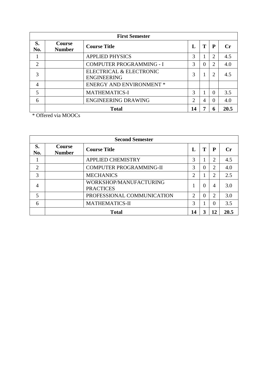| <b>First Semester</b>                                                              |                                 |                                               |               |          |                |     |  |
|------------------------------------------------------------------------------------|---------------------------------|-----------------------------------------------|---------------|----------|----------------|-----|--|
| S.<br><b>Course</b><br><b>Course Title</b><br>Т<br>P<br>Ι.<br><b>Number</b><br>No. |                                 |                                               |               |          | $C_{\Gamma}$   |     |  |
|                                                                                    |                                 | <b>APPLIED PHYSICS</b>                        | 3             |          | 2              | 4.5 |  |
| $\overline{2}$                                                                     |                                 | <b>COMPUTER PROGRAMMING - I</b>               | $\mathcal{R}$ | $\Omega$ | $\overline{2}$ | 4.0 |  |
| 3                                                                                  |                                 | ELECTRICAL & ELECTRONIC<br><b>ENGINEERING</b> | 3             |          | $\overline{2}$ | 4.5 |  |
| $\overline{4}$                                                                     |                                 | <b>ENERGY AND ENVIRONMENT *</b>               |               |          |                |     |  |
| 5                                                                                  |                                 | <b>MATHEMATICS-I</b>                          | 3             |          | $\theta$       | 3.5 |  |
| 6                                                                                  |                                 | <b>ENGINEERING DRAWING</b>                    | $\bigcirc$    | 4        | $\Omega$       | 4.0 |  |
|                                                                                    | <b>Total</b><br>14<br>20.5<br>6 |                                               |               |          |                |     |  |

\* Offered via MOOCs

| <b>Second Semester</b> |                                                                 |                                            |                             |          |                |     |  |
|------------------------|-----------------------------------------------------------------|--------------------------------------------|-----------------------------|----------|----------------|-----|--|
| S.<br>No.              | <b>Course</b><br>Т<br><b>Course Title</b><br>L<br><b>Number</b> |                                            |                             |          | P              |     |  |
|                        |                                                                 | <b>APPLIED CHEMISTRY</b>                   | 3                           |          | 2              | 4.5 |  |
| $\overline{2}$         |                                                                 | <b>COMPUTER PROGRAMMING-II</b>             | 3                           | $\Omega$ | 2              | 4.0 |  |
| 3                      |                                                                 | <b>MECHANICS</b>                           | $\overline{2}$              | 1        | 2              | 2.5 |  |
| 4                      |                                                                 | WORKSHOP/MANUFACTURING<br><b>PRACTICES</b> |                             | $\Omega$ | $\overline{4}$ | 3.0 |  |
| 5                      |                                                                 | PROFESSIONAL COMMUNICATION                 | $\mathcal{D}_{\mathcal{L}}$ | $\theta$ | $\overline{2}$ | 3.0 |  |
| 6                      |                                                                 | <b>MATHEMATICS-II</b>                      | 3                           |          | $\Omega$       | 3.5 |  |
|                        | <b>Total</b><br>3<br>12<br>20.5<br>14                           |                                            |                             |          |                |     |  |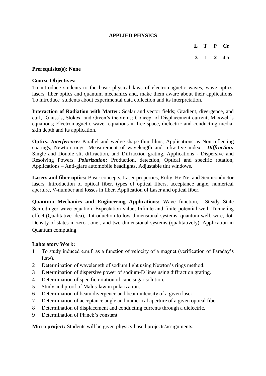#### **APPLIED PHYSICS**

**L T P Cr**

# **3 1 2 4.5**

#### **Prerequisite(s): None**

#### **Course Objectives:**

To introduce students to the basic physical laws of electromagnetic waves, wave optics, lasers, fiber optics and quantum mechanics and, make them aware about their applications. To introduce students about experimental data collection and its interpretation.

**Interaction of Radiation with Matter:** Scalar and vector fields; Gradient, divergence, and curl; Gauss's, Stokes' and Green's theorems; Concept of Displacement current; Maxwell's equations; Electromagnetic wave equations in free space, dielectric and conducting media, skin depth and its application.

**Optics:** *Interference:* Parallel and wedge-shape thin films, Applications as Non-reflecting coatings, Newton rings, Measurement of wavelength and refractive index. *Diffraction:* Single and Double slit diffraction, and Diffraction grating, Applications - Dispersive and Resolving Powers. *Polarization:* Production, detection, Optical and specific rotation, Applications – Anti-glare automobile headlights, Adjustable tint windows.

**Lasers and fiber optics:** Basic concepts, Laser properties, Ruby, He-Ne, and Semiconductor lasers, Introduction of optical fiber, types of optical fibers, acceptance angle, numerical aperture, V-number and losses in fiber. Application of Laser and optical fiber.

**Quantum Mechanics and Engineering Applications:** Wave function, Steady State Schrödinger wave equation, Expectation value, Infinite and finite potential well, Tunneling effect (Qualitative idea), Introduction to low-dimensional systems: quantum well, wire, dot. Density of states in zero-, one-, and two-dimensional systems (qualitatively). Application in Quantum computing.

#### **Laboratory Work:**

- 1 To study induced e.m.f. as a function of velocity of a magnet (verification of Faraday's Law).
- 2 Determination of wavelength of sodium light using Newton's rings method.
- 3 Determination of dispersive power of sodium-D lines using diffraction grating.
- 4 Determination of specific rotation of cane sugar solution.
- 5 Study and proof of Malus-law in polarization.
- 6 Determination of beam divergence and beam intensity of a given laser.
- 7 Determination of acceptance angle and numerical aperture of a given optical fiber.
- 8 Determination of displacement and conducting currents through a dielectric.
- 9 Determination of Planck's constant.

**Micro project:** Students will be given physics-based projects/assignments.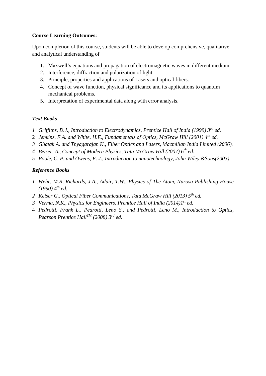#### **Course Learning Outcomes:**

Upon completion of this course, students will be able to develop comprehensive, qualitative and analytical understanding of

- 1. Maxwell's equations and propagation of electromagnetic waves in different medium.
- 2. Interference, diffraction and polarization of light.
- 3. Principle, properties and applications of Lasers and optical fibers.
- 4. Concept of wave function, physical significance and its applications to quantum mechanical problems.
- 5. Interpretation of experimental data along with error analysis.

# *Text Books*

- *1 Griffiths, D.J., Introduction to Electrodynamics, Prentice Hall of India (1999) 3rd ed.*
- 2 *Jenkins, F.A. and White, H.E., Fundamentals of Optics, McGraw Hill (2001) 4th ed.*
- *3 Ghatak A. and Thyagarajan K., Fiber Optics and Lasers, Macmillan India Limited (2006).*
- *4 Beiser, A., Concept of Modern Physics, Tata McGraw Hill (2007) 6th ed.*
- *5 Poole, C. P. and Owens, F. J., Introduction to nanotechnology, John Wiley &Sons(2003)*

# *Reference Books*

- *1 Wehr, M.R, Richards, J.A., Adair, T.W., Physics of The Atom, Narosa Publishing House (1990) 4th ed.*
- *2 Keiser G., Optical Fiber Communications, Tata McGraw Hill (2013) 5th ed.*
- *3 Verma, N.K., Physics for Engineers, Prentice Hall of India (2014)1st ed.*
- 4 *Pedrotti, Frank L., Pedrotti, Leno S., and Pedrotti, Leno M., Introduction to Optics, Pearson Prentice HallTM (2008) 3rd ed.*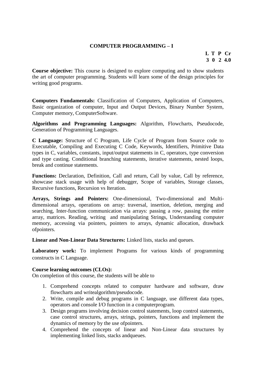# **COMPUTER PROGRAMMING – I**

# **L T P Cr 3 0 2 4.0**

**Course objective:** This course is designed to explore computing and to show students the art of computer programming. Students will learn some of the design principles for writing good programs.

**Computers Fundamentals:** Classification of Computers, Application of Computers, Basic organization of computer, Input and Output Devices, Binary Number System, Computer memory, ComputerSoftware.

**Algorithms and Programming Languages:** Algorithm, Flowcharts, Pseudocode, Generation of Programming Languages.

**C Language:** Structure of C Program, Life Cycle of Program from Source code to Executable, Compiling and Executing C Code, Keywords, Identifiers, Primitive Data types in C, variables, constants, input/output statements in C, operators, type conversion and type casting. Conditional branching statements, iterative statements, nested loops, break and continue statements.

Functions: Declaration, Definition, Call and return, Call by value, Call by reference, showcase stack usage with help of debugger, Scope of variables, Storage classes, Recursive functions, Recursion vs Iteration.

**Arrays, Strings and Pointers:** One-dimensional, Two-dimensional and Multidimensional arrays, operations on array: traversal, insertion, deletion, merging and searching, Inter-function communication via arrays: passing a row, passing the entire array, matrices. Reading, writing and manipulating Strings, Understanding computer memory, accessing via pointers, pointers to arrays, dynamic allocation, drawback ofpointers.

**Linear and Non-Linear Data Structures:** Linked lists, stacks and queues.

**Laboratory work:** To implement Programs for various kinds of programming constructs in C Language.

#### **Course learning outcomes (CLOs):**

On completion of this course, the students will be able to

- 1. Comprehend concepts related to computer hardware and software, draw flowcharts and writealgorithm/pseudocode.
- 2. Write, compile and debug programs in C language, use different data types, operators and console I/O function in a computerprogram.
- 3. Design programs involving decision control statements, loop control statements, case control structures, arrays, strings, pointers, functions and implement the dynamics of memory by the use ofpointers.
- 4. Comprehend the concepts of linear and Non-Linear data structures by implementing linked lists, stacks andqueues.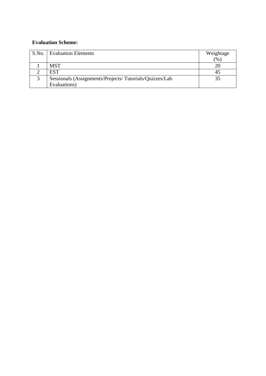| S.No.   Evaluation Elements                            | Weightage |
|--------------------------------------------------------|-----------|
|                                                        | (%        |
| <b>MST</b>                                             | 20        |
| <b>EST</b>                                             | 45        |
| Sessionals (Assignments/Projects/Tutorials/Quizzes/Lab | 35        |
| Evaluations)                                           |           |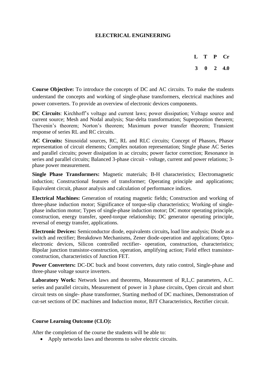# **ELECTRICAL ENGINEERING**

**L T P Cr 3 0 2 4.0**

**Course Objective:** To introduce the concepts of DC and AC circuits. To make the students understand the concepts and working of single-phase transformers, electrical machines and power converters. To provide an overview of electronic devices components.

**DC Circuits**: Kirchhoff's voltage and current laws; power dissipation; Voltage source and current source; Mesh and Nodal analysis; Star-delta transformation; Superposition theorem; Thevenin's theorem; Norton's theorem; Maximum power transfer theorem; Transient response of series RL and RC circuits.

**AC Circuits:** Sinusoidal sources, RC, RL and RLC circuits; Concept of Phasors, Phasor representation of circuit elements; Complex notation representation; Single phase AC Series and parallel circuits; power dissipation in ac circuits; power factor correction; Resonance in series and parallel circuits; Balanced 3-phase circuit - voltage, current and power relations; 3phase power measurement.

**Single Phase Transformers:** Magnetic materials; B-H characteristics; Electromagnetic induction; Constructional features of transformer; Operating principle and applications; Equivalent circuit, phasor analysis and calculation of performance indices.

**Electrical Machines:** Generation of rotating magnetic fields; Construction and working of three-phase induction motor; Significance of torque-slip characteristics; Working of singlephase induction motor; Types of single-phase induction motor; DC motor operating principle, construction, energy transfer, speed-torque relationship; DC generator operating principle, reversal of energy transfer, applications.

**Electronic Devices:** Semiconductor diode, equivalents circuits**,** load line analysis; Diode as a switch and rectifier; Breakdown Mechanisms, Zener diode-operation and applications; Optoelectronic devices, Silicon controlled rectifier- operation, construction, characteristics; Bipolar junction transistor-construction, operation, amplifying action; Field effect transistorconstruction, characteristics of Junction FET.

**Power Converters:** DC-DC buck and boost converters, duty ratio control, Single-phase and three-phase voltage source inverters.

Laboratory Work: Network laws and theorems, Measurement of R,L,C parameters, A.C. series and parallel circuits, Measurement of power in 3 phase circuits, Open circuit and short circuit tests on single- phase transformer, Starting method of DC machines, Demonstration of cut-set sections of DC machines and Induction motor, BJT Characteristics, Rectifier circuit.

#### **Course Learning Outcome (CLO):**

After the completion of the course the students will be able to:

• Apply networks laws and theorems to solve electric circuits.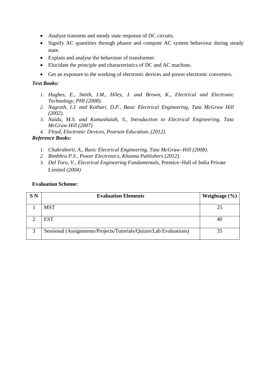- Analyze transient and steady state response of DC circuits.
- Signify AC quantities through phasor and compute AC system behaviour during steady state.
- Explain and analyse the behaviour of transformer.
- Elucidate the principle and characteristics of DC and AC machine**.**
- Get an exposure to the working of electronic devices and power electronic converters.

# *Text Books:*

- *1. Hughes, E., Smith, I.M., Hiley, J. and Brown, K., Electrical and Electronic Technology, PHI (2008).*
- *2. Nagrath, I.J. and Kothari, D.P., Basic Electrical Engineering, Tata McGraw Hill (2002).*
- *3. Naidu, M.S. and Kamashaiah, S., Introduction to Electrical Engineering, Tata McGraw Hill (2007)*
- *4. Floyd, Electronic Devices, Pearson Education, (2012).*

#### *Reference Books:*

- *1. Chakraborti, A., Basic Electrical Engineering, Tata McGrawHill (2008).*
- *2. Bimbhra P.S., Power Electronics, Khanna Publishers (2012).*
- 3. *Del Toro, V., Electrical Engineering Fundamentals, Prentice–Hall of India Private* Limited *(2004)*

| S N | <b>Evaluation Elements</b>                                        | Weightage $(\% )$ |
|-----|-------------------------------------------------------------------|-------------------|
|     | <b>MST</b>                                                        | 25                |
|     | <b>EST</b>                                                        | 40                |
|     | Sessional (Assignments/Projects/Tutorials/Quizes/Lab Evaluations) | 35                |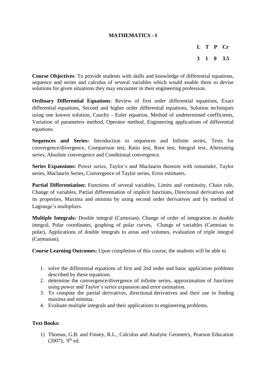# **MATHEMATICS - I**

**L T P Cr**

**3 1 0 3.5**

**Course Objectives**: To provide students with skills and knowledge of differential equations, sequence and series and calculus of several variables which would enable them to devise solutions for given situations they may encounter in their engineering profession.

**Ordinary Differential Equations**: Review of first order differential equations, Exact differential equations, Second and higher order differential equations, Solution techniques using one known solution, Cauchy - Euler equation, Method of undetermined coefficients, Variation of parameters method, Operator method, Engineering applications of differential equations.

**Sequences and Series:** Introduction to sequences and Infinite series, Tests for convergence/divergence, Comparison test, Ratio test, Root test, Integral test, Alternating series, Absolute convergence and Conditional convergence.

**Series Expansions:** Power series, Taylor's and Maclaurin theorem with remainder, Taylor series, Maclaurin Series, Convergence of Taylor series, Error estimates.

Partial Differentiation: Functions of several variables, Limits and continuity, Chain rule, Change of variables, Partial differentiation of implicit functions, Directional derivatives and its properties, Maxima and minima by using second order derivatives and by method of Lagrange's multipliers.

**Multiple Integrals:** Double integral (Cartesian), Change of order of integration in double integral, Polar coordinates, graphing of polar curves, Change of variables (Cartesian to polar), Applications of double integrals to areas and volumes, evaluation of triple integral (Carteasian).

**Course Learning Outcomes:** Upon completion of this course, the students will be able to

- 1. solve the differential equations of first and 2nd order and basic application problems described by these equations.
- 2. determine the convergence/divergence of infinite series, approximation of functions using power and Taylor's series expansion and error estimation.
- 3. To compute the partial derivatives, directional derivatives and their use in finding maxima and minima.
- 4. Evaluate multiple integrals and their applications to engineering problems.

#### **Text Books:**

1) Thomas, G.B. and Finney, R.L., Calculus and Analytic Geometry, Pearson Education  $(2007)$ , 9<sup>th</sup> ed.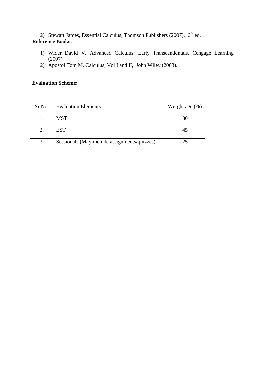2) Stewart James, Essential Calculus; Thomson Publishers (2007), 6<sup>th</sup> ed.

# **Reference Books:**

- 1) Wider David V, Advanced Calculus: Early Transcendentals, Cengage Learning (2007).
- 2) Apostol Tom M, Calculus, Vol I and II, John Wiley (2003).

| Sr.No. | <b>Evaluation Elements</b>                   | Weight age $(\%)$ |
|--------|----------------------------------------------|-------------------|
|        |                                              |                   |
|        | <b>MST</b>                                   | 30                |
|        |                                              |                   |
| 2.     | <b>EST</b>                                   | 45                |
|        |                                              |                   |
| 3.     | Sessionals (May include assignments/quizzes) | 25                |
|        |                                              |                   |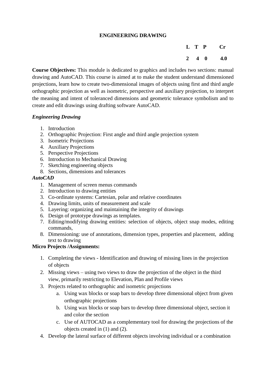# **ENGINEERING DRAWING**

|                     | L T P | $\mathbf{Cr}$ |
|---------------------|-------|---------------|
| $2 \quad 4 \quad 0$ |       | 4.0           |

**Course Objectives:** This module is dedicated to graphics and includes two sections: manual drawing and AutoCAD. This course is aimed at to make the student understand dimensioned projections, learn how to create two-dimensional images of objects using first and third angle orthographic projection as well as isometric, perspective and auxiliary projection, to interpret the meaning and intent of toleranced dimensions and geometric tolerance symbolism and to create and edit drawings using drafting software AutoCAD.

# *Engineering Drawing*

- 1. Introduction
- 2. Orthographic Projection: First angle and third angle projection system
- 3. Isometric Projections
- 4. Auxiliary Projections
- 5. Perspective Projections
- 6. Introduction to Mechanical Drawing
- 7. Sketching engineering objects
- 8. Sections, dimensions and tolerances

# *AutoCAD*

- 1. Management of screen menus commands
- 2. Introduction to drawing entities
- 3. Co-ordinate systems: Cartesian, polar and relative coordinates
- 4. Drawing limits, units of measurement and scale
- 5. Layering: organizing and maintaining the integrity of drawings
- 6. Design of prototype drawings as templates.
- 7. Editing/modifying drawing entities: selection of objects, object snap modes, editing commands,
- 8. Dimensioning: use of annotations, dimension types, properties and placement, adding text to drawing

# **Micro Projects /Assignments:**

- 1. Completing the views Identification and drawing of missing lines in the projection of objects
- 2. Missing views using two views to draw the projection of the object in the third view, primarily restricting to Elevation, Plan and Profile views
- 3. Projects related to orthographic and isometric projections
	- a. Using wax blocks or soap bars to develop three dimensional object from given orthographic projections
	- b. Using wax blocks or soap bars to develop three dimensional object, section it and color the section
	- c. Use of AUTOCAD as a complementary tool for drawing the projections of the objects created in (1) and (2).
- 4. Develop the lateral surface of different objects involving individual or a combination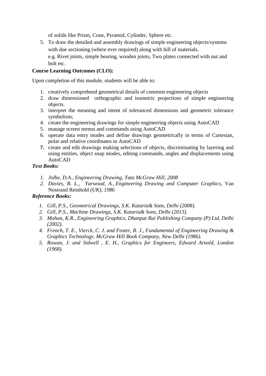of solids like Prism, Cone, Pyramid, Cylinder, Sphere etc.

5. To draw the detailed and assembly drawings of simple engineering objects/systems with due sectioning (where ever required) along with bill of materials. e.g. Rivet joints, simple bearing, wooden joints, Two plates connected with nut and bolt etc.

# **Course Learning Outcomes (CLO):**

Upon completion of this module, students will be able to:

- 1. creatively comprehend geometrical details of common engineering objects
- 2. draw dimensioned orthographic and isometric projections of simple engineering objects.
- 3. interpret the meaning and intent of toleranced dimensions and geometric tolerance symbolism;
- 4. create the engineering drawings for simple engineering objects using AutoCAD
- 5. manage screen menus and commands using AutoCAD
- 6. operate data entry modes and define drawings geometrically in terms of Cartesian, polar and relative coordinates in AutoCAD
- **7.** create and edit drawings making selections of objects, discriminating by layering and using entities, object snap modes, editing commands, angles and displacements using AutoCAD

# *Text Books:*

- *1. Jolhe, D.A., Engineering Drawing, Tata McGraw Hill, 2008*
- *2. Davies, B. L., Yarwood, A., Engineering Drawing and Computer Graphics,* Van Nostrand Reinhold *(UK), 1986*

# *Reference Books:*

- *1. Gill, P.S., Geometrical Drawings, S.K. Kataria& Sons, Delhi (2008).*
- *2. Gill, P.S., Machine Drawings, S.K. Kataria& Sons, Delhi (2013).*
- *3. Mohan, K.R., Engineering Graphics, Dhanpat Rai Publishing Company (P) Ltd, Delhi (2002).*
- *4. French, T. E., Vierck, C. J. and Foster, R. J., Fundamental of Engineering Drawing & Graphics Technology, McGraw Hill Book Company, New Delhi (1986).*
- *5. Rowan, J. and Sidwell , E. H., Graphics for Engineers, Edward Arnold, London (1968).*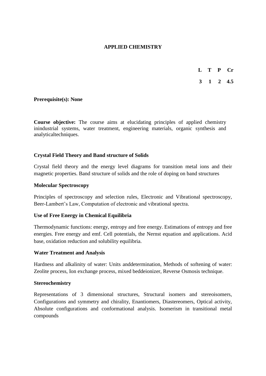# **APPLIED CHEMISTRY**

- **L T P Cr**
- **3 1 2 4.5**

#### **Prerequisite(s): None**

**Course objective:** The course aims at elucidating principles of applied chemistry inindustrial systems, water treatment, engineering materials, organic synthesis and analyticaltechniques.

# **Crystal Field Theory and Band structure of Solids**

Crystal field theory and the energy level diagrams for transition metal ions and their magnetic properties. Band structure of solids and the role of doping on band structures

#### **Molecular Spectroscopy**

Principles of spectroscopy and selection rules, Electronic and Vibrational spectroscopy, Beer-Lambert's Law, Computation of electronic and vibrational spectra.

#### **Use of Free Energy in Chemical Equilibria**

Thermodynamic functions: energy, entropy and free energy. Estimations of entropy and free energies. Free energy and emf. Cell potentials, the Nernst equation and applications. Acid base, oxidation reduction and solubility equilibria.

#### **Water Treatment and Analysis**

Hardness and alkalinity of water: Units anddetermination, Methods of softening of water: Zeolite process, Ion exchange process, mixed beddeionizer, Reverse Osmosis technique.

#### **Stereochemistry**

Representations of 3 dimensional structures, Structural isomers and stereoisomers, Configurations and symmetry and chirality, Enantiomers, Diastereomers, Optical activity, Absolute configurations and conformational analysis. Isomerism in transitional metal compounds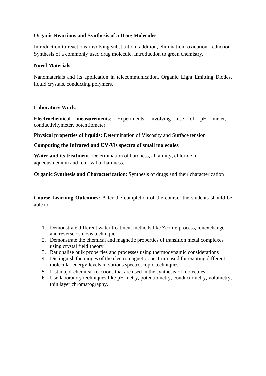# **Organic Reactions and Synthesis of a Drug Molecules**

Introduction to reactions involving substitution, addition, elimination, oxidation, reduction. Synthesis of a commonly used drug molecule, Introduction to green chemistry.

# **Novel Materials**

Nanomaterials and its application in telecommunication. Organic Light Emitting Diodes, liquid crystals, conducting polymers.

# **Laboratory Work:**

**Electrochemical measurements**: Experiments involving use of pH meter, conductivitymeter, potentiometer.

**Physical properties of liquids:** Determination of Viscosity and Surface tension

# **Computing the Infrared and UV-Vis spectra of small molecules**

**Water and its treatment**: Determination of hardness, alkalinity, chloride in aqueousmedium and removal of hardness.

**Organic Synthesis and Characterization**: Synthesis of drugs and their characterization

**Course Learning Outcomes:** After the completion of the course, the students should be able to

- 1. Demonstrate different water treatment methods like Zeolite process, ionexchange and reverse osmosis technique.
- 2. Demonstrate the chemical and magnetic properties of transition metal complexes using crystal field theory
- 3. Rationalise bulk properties and processes using thermodynamic considerations
- 4. Distinguish the ranges of the electromagnetic spectrum used for exciting different molecular energy levels in various spectroscopic techniques
- 5. List major chemical reactions that are used in the synthesis of molecules
- 6. Use laboratory techniques like pH metry, potentiometry, conductometry, volumetry, thin layer chromatography.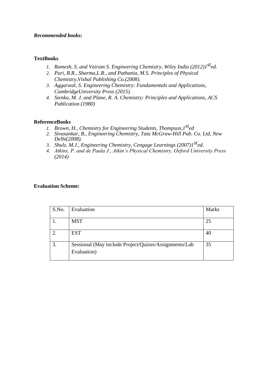#### *Recommended books:*

#### **TextBooks**

- *1. Ramesh, S. and Vairam S. Engineering Chemistry, Wiley India (2012)1sted.*
- *2. Puri, B.R., Sharma,L.R., and Pathania, M.S. Principles of Physical Chemistry,Vishal Publishing Co.(2008).*
- *3. Aggarwal, S. Engineering Chemistry: Fundamentals and Applications, CambridgeUniversity Press (2015).*
- *4. Sienko, M. J. and Plane, R. A. Chemistry: Principles and Applications, ACS Publication (1980)*

#### **ReferenceBooks**

- *1. Brown, H., Chemistry for Engineering Students, Thompson,1sted*
- *2. Sivasankar, B., Engineering Chemistry, Tata McGraw-Hill Pub. Co. Ltd, New Delhi(2008).*
- *3. Shulz, M.J., Engineering Chemistry, Cengage Learnings (2007)1sted.*
- *4. Atkins, P. and de Paula J., Atkin's Physical Chemistry, Oxford University Press (2014)*

| S.No. | Evaluation                                                           | <b>Marks</b> |
|-------|----------------------------------------------------------------------|--------------|
|       | <b>MST</b>                                                           | 25           |
|       | <b>EST</b>                                                           | 40           |
| 3.    | Sessional (May include Project/Quizes/Assignments/Lab<br>Evaluation) | 35           |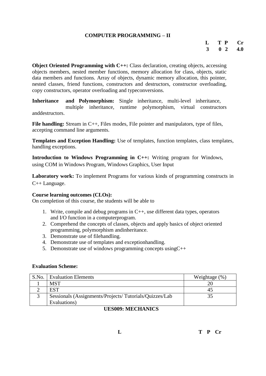#### **COMPUTER PROGRAMMING – II**

# **L T P Cr 3 0 2 4.0**

**Object Oriented Programming with C++:** Class declaration, creating objects, accessing objects members, nested member functions, memory allocation for class, objects, static data members and functions. Array of objects, dynamic memory allocation, this pointer, nested classes, friend functions, constructors and destructors, constructor overloading, copy constructors, operator overloading and typeconversions.

**Inheritance and Polymorphism:** Single inheritance, multi-level inheritance, multiple inheritance, runtime polymorphism, virtual constructors anddestructors.

File handling: Stream in C<sub>++</sub>, Files modes, File pointer and manipulators, type of files, accepting command line arguments.

**Templates and Exception Handling:** Use of templates, function templates, class templates, handling exceptions.

**Introduction to Windows Programming in C++:** Writing program for Windows, using COM in Windows Program, Windows Graphics, User Input

Laboratory work: To implement Programs for various kinds of programming constructs in C++ Language.

#### **Course learning outcomes (CLOs):**

On completion of this course, the students will be able to

- 1. Write, compile and debug programs in C++, use different data types, operators and I/O function in a computerprogram.
- 2. Comprehend the concepts of classes, objects and apply basics of object oriented programming, polymorphism andinheritance.
- 3. Demonstrate use of filehandling.
- 4. Demonstrate use of templates and exceptionhandling.
- 5. Demonstrate use of windows programming concepts usingC++

#### **Evaluation Scheme:**

| S.No. | <b>Evaluation Elements</b>                             | Weightage $(\%)$ |
|-------|--------------------------------------------------------|------------------|
|       | MST                                                    |                  |
|       | <b>EST</b>                                             |                  |
|       | Sessionals (Assignments/Projects/Tutorials/Quizzes/Lab |                  |
|       | Evaluations)                                           |                  |

#### **UES009: MECHANICS**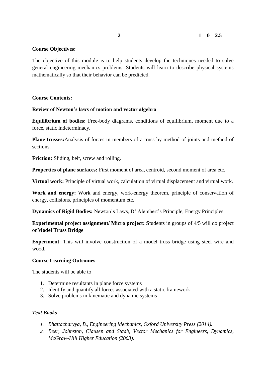#### **Course Objectives:**

The objective of this module is to help students develop the techniques needed to solve general engineering mechanics problems. Students will learn to describe physical systems mathematically so that their behavior can be predicted.

#### **Course Contents:**

#### **Review of Newton's laws of motion and vector algebra**

**Equilibrium of bodies:** Free-body diagrams, conditions of equilibrium, moment due to a force, static indeterminacy.

**Plane trusses:**Analysis of forces in members of a truss by method of joints and method of sections.

**Friction:** Sliding, belt, screw and rolling.

**Properties of plane surfaces:** First moment of area, centroid, second moment of area etc.

**Virtual work:** Principle of virtual work, calculation of virtual displacement and virtual work.

**Work and energy:** Work and energy, work-energy theorem, principle of conservation of energy, collisions, principles of momentum etc.

**Dynamics of Rigid Bodies:** Newton's Laws, D' Alembert's Principle, Energy Principles.

**Experimental project assignment/ Micro project: S**tudents in groups of 4/5 will do project on**Model Truss Bridge** 

**Experiment**: This will involve construction of a model truss bridge using steel wire and wood.

#### **Course Learning Outcomes**

The students will be able to

- 1. Determine resultants in plane force systems
- 2. Identify and quantify all forces associated with a static framework
- 3. Solve problems in kinematic and dynamic systems

#### *Text Books*

- *1. Bhattacharyya, B., Engineering Mechanics, Oxford University Press (2014).*
- *2. Beer, Johnston, Clausen and Staab, Vector Mechanics for Engineers, Dynamics, McGraw-Hill Higher Education (2003).*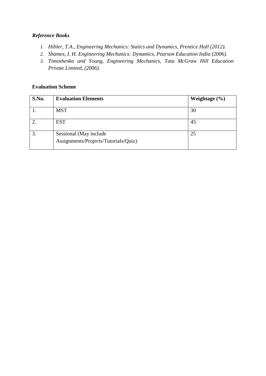# *Reference Books*

- *1. Hibler, T.A., Engineering Mechanics: Statics and Dynamics, Prentice Hall (2012).*
- *2. Shames, I. H. Engineering Mechanics: Dynamics, Pearson Education India (2006).*
- *3. Timoshenko and Young, Engineering Mechanics, Tata McGraw Hill Education Private Limited, (2006).*

| S.No. | <b>Evaluation Elements</b>                                     | Weightage $(\% )$ |
|-------|----------------------------------------------------------------|-------------------|
|       | <b>MST</b>                                                     | 30                |
|       | <b>EST</b>                                                     | 45                |
|       | Sessional (May include<br>Assignments/Projects/Tutorials/Quiz) | 25                |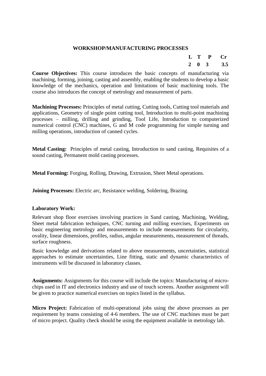#### **WORKSHOP/MANUFACTURING PROCESSES**

| $\mathbf{L}$ | T | P            | $\mathbf{C}$ |
|--------------|---|--------------|--------------|
| $\mathbf{2}$ | o | $\mathbf{R}$ | 3.5          |

**Course Objectives:** This course introduces the basic concepts of manufacturing via machining, forming, joining, casting and assembly, enabling the students to develop a basic knowledge of the mechanics, operation and limitations of basic machining tools. The course also introduces the concept of metrology and measurement of parts.

**Machining Processes:** Principles of metal cutting, Cutting tools, Cutting tool materials and applications, Geometry of single point cutting tool, Introduction to multi-point machining processes – milling, drilling and grinding, Tool Life, Introduction to computerized numerical control (CNC) machines, G and M code programming for simple turning and milling operations, introduction of canned cycles.

**Metal Casting:** Principles of metal casting, Introduction to sand casting, Requisites of a sound casting, Permanent mold casting processes.

**Metal Forming:** Forging, Rolling, Drawing, Extrusion, Sheet Metal operations.

**Joining Processes:** Electric arc, Resistance welding, Soldering, Brazing.

#### **Laboratory Work:**

Relevant shop floor exercises involving practices in Sand casting, Machining, Welding, Sheet metal fabrication techniques, CNC turning and milling exercises, Experiments on basic engineering metrology and measurements to include measurements for circularity, ovality, linear dimensions, profiles, radius, angular measurements, measurement of threads, surface roughness.

Basic knowledge and derivations related to above measurements, uncertainties, statistical approaches to estimate uncertainties, Line fitting, static and dynamic characteristics of instruments will be discussed in laboratory classes.

**Assignments:** Assignments for this course will include the topics: Manufacturing of microchips used in IT and electronics industry and use of touch screens. Another assignment will be given to practice numerical exercises on topics listed in the syllabus.

**Micro Project:** Fabrication of multi-operational jobs using the above processes as per requirement by teams consisting of 4-6 members. The use of CNC machines must be part of micro project. Quality check should be using the equipment available in metrology lab.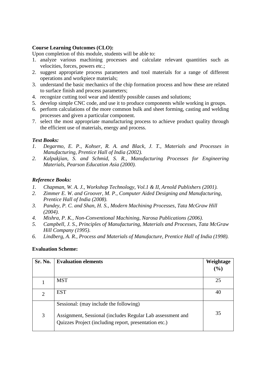#### **Course Learning Outcomes (CLO):**

Upon completion of this module, students will be able to:

- 1. analyze various machining processes and calculate relevant quantities such as velocities, forces, powers etc.;
- 2. suggest appropriate process parameters and tool materials for a range of different operations and workpiece materials;
- 3. understand the basic mechanics of the chip formation process and how these are related to surface finish and process parameters;
- 4. recognize cutting tool wear and identify possible causes and solutions;
- 5. develop simple CNC code, and use it to produce components while working in groups.
- 6. perform calculations of the more common bulk and sheet forming, casting and welding processes and given a particular component.
- 7. select the most appropriate manufacturing process to achieve product quality through the efficient use of materials, energy and process.

#### *Text Books:*

- *1. Degarmo, E. P., Kohser, R. A. and Black, J. T., Materials and Processes in Manufacturing, Prentice Hall of India (2002).*
- *2. Kalpakjian, S. and Schmid, S. R., Manufacturing Processes for Engineering Materials, Pearson Education Asia (2000).*

#### *Reference Books:*

- *1. Chapman, W. A. J., Workshop Technology, Vol.1 & II, Arnold Publishers (2001).*
- *2. Zimmer E. W. and Groover, M. P., Computer Aided Designing and Manufacturing, Prentice Hall of India (2008).*
- *3. Pandey, P. C. and Shan, H. S., Modern Machining Processes, Tata McGraw Hill (2004).*
- *4. Mishra, P. K., Non-Conventional Machining, Narosa Publications (2006).*
- *5. Campbell, J. S., Principles of Manufacturing, Materials and Processes, Tata McGraw Hill Company (1995).*
- *6. Lindberg, A. R., Process and Materials of Manufacture, Prentice Hall of India (1998).*

| Sr. No.        | <b>Evaluation elements</b>                                                                                          | Weightage |
|----------------|---------------------------------------------------------------------------------------------------------------------|-----------|
|                |                                                                                                                     | (%)       |
|                | <b>MST</b>                                                                                                          | 25        |
| $\overline{2}$ | <b>EST</b>                                                                                                          | 40        |
|                | Sessional: (may include the following)                                                                              |           |
| 3              | Assignment, Sessional (includes Regular Lab assessment and<br>Quizzes Project (including report, presentation etc.) | 35        |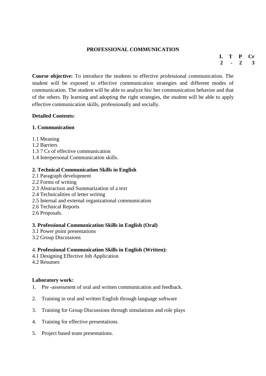# **PROFESSIONAL COMMUNICATION**

**L T P Cr 2 - 2 3**

**Course objective:** To introduce the students to effective professional communication. The student will be exposed to effective communication strategies and different modes of communication. The student will be able to analyze his/ her communication behavior and that of the others. By learning and adopting the right strategies, the student will be able to apply effective communication skills, professionally and socially.

# **Detailed Contents:**

# **1. Communication**

- 1.1 Meaning
- 1.2 Barriers
- 1.3 7 Cs of effective communication
- 1.4 Interpersonal Communication skills.

#### **2. Technical Communication Skills in English**

- 2.1 Paragraph development
- 2.2 Forms of writing
- 2.3 Abstraction and Summarization of a text
- 2.4 Technicalities of letter writing
- 2.5 Internal and external organizational communication
- 2.6 Technical Reports
- 2.6 Proposals.

# **3. Professional Communication Skills in English (Oral)**

- 3.1 Power point presentations
- 3.2 Group Discussions

# 4. **Professional Communication Skills in English (Written):**

- 4.1 Designing Effective Job Application
- 4.2 Resumes

#### **Laboratory work:**

- 1. Pre -assessment of oral and written communication and feedback.
- 2. Training in oral and written English through language software
- 3. Training for Group Discussions through simulations and role plays
- 4. Training for effective presentations.
- 5. Project based team presentations.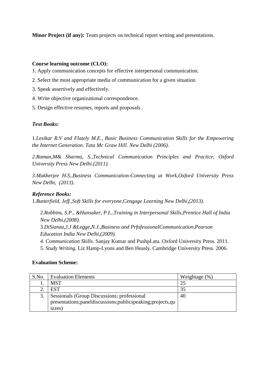**Minor Project (if any):** Team projects on technical report writing and presentations.

# **Course learning outcome (CLO):**

- 1. Apply communication concepts for effective interpersonal communication.
- 2. Select the most appropriate media of communication for a given situation.
- 3. Speak assertively and effectively.
- 4. Write objective organizational correspondence.
- 5. Design effective resumes, reports and proposals .

#### *Text Books:*

1.*Lesikar R.V and Flately M.E., Basic Business Communication Skills for the Empowering the Internet Generation. Tata Mc Graw Hill. New Delhi (2006).*

*2.Raman,M& Sharma, S.,Technical Communication Principles and Practice, Oxford University Press New Delhi.(2011).*

*3.Mukherjee H.S.,Business Communication-Connecting at Work,Oxford University Press New Delhi, (2013).* 

# *Reference Books:*

1.*Butterfield, Jeff.,Soft Skills for everyone,Cengage Learning New Delhi,(2013).*

2.*Robbins, S.P., &Hunsaker, P.L.,Training in Interpersonal Skills,Prentice Hall of India New Delhi,(2008).* 3.*DiSianza,J.J &Legge,N.J.,Business and PrfofessionalCommunication,Pearson Education India New Delhi,(2009). 4. Communication Skills*. Sanjay Kumar and PushpLata. Oxford University Press. 2011.

*5. Study Writing.* Liz Hamp-Lyons and Ben Heasly. Cambridge University Press. 2006.

| S.No. | <b>Evaluation Elements</b>                                      | Weightage $(\%)$ |
|-------|-----------------------------------------------------------------|------------------|
| . .   | <b>MST</b>                                                      |                  |
|       | <b>EST</b>                                                      | 35               |
| 3.    | Sessionals (Group Discussions; professional                     | 40               |
|       | presentations; panel discussions; publics peaking; projects, qu |                  |
|       | izzes)                                                          |                  |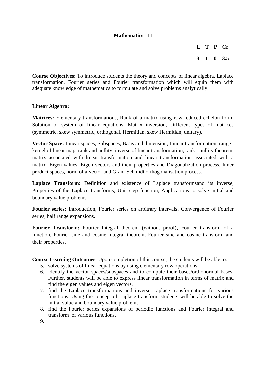# **Mathematics - II**

**L T P Cr 3 1 0 3.5**

**Course Objectives**: To introduce students the theory and concepts of linear algebra, Laplace transformation, Fourier series and Fourier transformation which will equip them with adequate knowledge of mathematics to formulate and solve problems analytically.

#### **Linear Algebra:**

**Matrices:** Elementary transformations, Rank of a matrix using row reduced echelon form, Solution of system of linear equations, Matrix inversion, Different types of matrices (symmetric, skew symmetric, orthogonal, Hermitian, skew Hermitian, unitary).

**Vector Space:** Linear spaces, Subspaces, Basis and dimension, Linear transformation, range , kernel of linear map, rank and nullity, inverse of linear transformation, rank - nullity theorem, matrix associated with linear transformation and linear transformation associated with a matrix, Eigen-values, Eigen-vectors and their properties and Diagonalization process, Inner product spaces, norm of a vector and Gram-Schmidt orthogonalisation process.

**Laplace Transform:** Definition and existence of Laplace transformsand its inverse, Properties of the Laplace transforms, Unit step function, Applications to solve initial and boundary value problems.

**Fourier series:** Introduction, Fourier series on arbitrary intervals, Convergence of Fourier series, half range expansions.

**Fourier Transform:** Fourier Integral theorem (without proof), Fourier transform of a function, Fourier sine and cosine integral theorem, Fourier sine and cosine transform and their properties.

**Course Learning Outcomes**: Upon completion of this course, the students will be able to:

- 5. solve systems of linear equations by using elementary row operations.
- 6. identify the vector spaces/subspaces and to compute their bases/orthonormal bases. Further, students will be able to express linear transformation in terms of matrix and find the eigen values and eigen vectors.
- 7. find the Laplace transformations and inverse Laplace transformations for various functions. Using the concept of Laplace transform students will be able to solve the initial value and boundary value problems.
- 8. find the Fourier series expansions of periodic functions and Fourier integral and transform of various functions.
- 9.